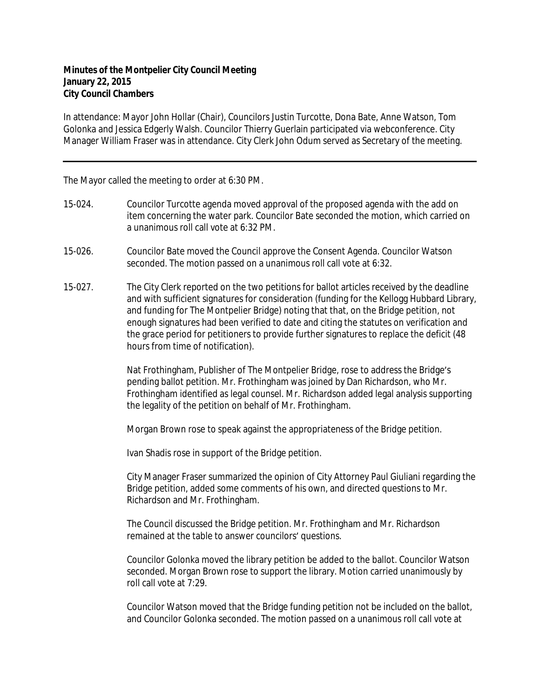## **Minutes of the Montpelier City Council Meeting January 22, 2015 City Council Chambers**

In attendance: Mayor John Hollar (Chair), Councilors Justin Turcotte, Dona Bate, Anne Watson, Tom Golonka and Jessica Edgerly Walsh. Councilor Thierry Guerlain participated via webconference. City Manager William Fraser was in attendance. City Clerk John Odum served as Secretary of the meeting.

The Mayor called the meeting to order at 6:30 PM.

- 15-024. Councilor Turcotte agenda moved approval of the proposed agenda with the add on item concerning the water park. Councilor Bate seconded the motion, which carried on a unanimous roll call vote at 6:32 PM.
- 15-026. Councilor Bate moved the Council approve the Consent Agenda. Councilor Watson seconded. The motion passed on a unanimous roll call vote at 6:32.
- 15-027. The City Clerk reported on the two petitions for ballot articles received by the deadline and with sufficient signatures for consideration (funding for the Kellogg Hubbard Library, and funding for The Montpelier Bridge) noting that that, on the Bridge petition, not enough signatures had been verified to date and citing the statutes on verification and the grace period for petitioners to provide further signatures to replace the deficit (48 hours from time of notification).

Nat Frothingham, Publisher of The Montpelier Bridge, rose to address the Bridge's pending ballot petition. Mr. Frothingham was joined by Dan Richardson, who Mr. Frothingham identified as legal counsel. Mr. Richardson added legal analysis supporting the legality of the petition on behalf of Mr. Frothingham.

Morgan Brown rose to speak against the appropriateness of the Bridge petition.

Ivan Shadis rose in support of the Bridge petition.

City Manager Fraser summarized the opinion of City Attorney Paul Giuliani regarding the Bridge petition, added some comments of his own, and directed questions to Mr. Richardson and Mr. Frothingham.

The Council discussed the Bridge petition. Mr. Frothingham and Mr. Richardson remained at the table to answer councilors' questions.

Councilor Golonka moved the library petition be added to the ballot. Councilor Watson seconded. Morgan Brown rose to support the library. Motion carried unanimously by roll call vote at 7:29.

Councilor Watson moved that the Bridge funding petition not be included on the ballot, and Councilor Golonka seconded. The motion passed on a unanimous roll call vote at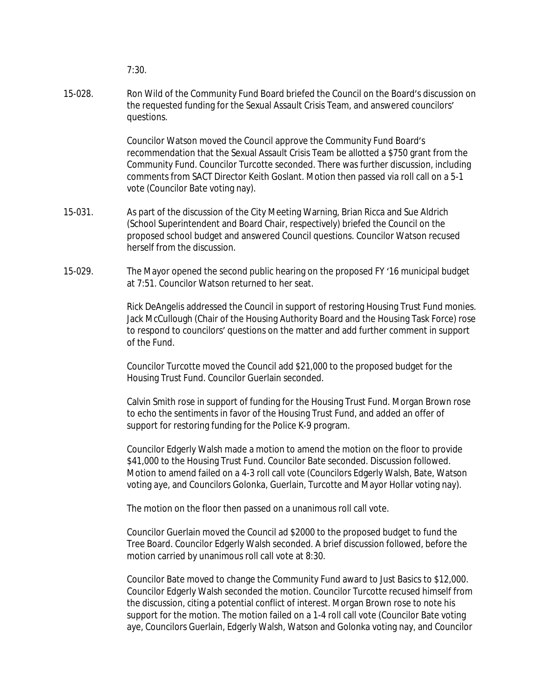7:30.

15-028. Ron Wild of the Community Fund Board briefed the Council on the Board's discussion on the requested funding for the Sexual Assault Crisis Team, and answered councilors' questions.

> Councilor Watson moved the Council approve the Community Fund Board's recommendation that the Sexual Assault Crisis Team be allotted a \$750 grant from the Community Fund. Councilor Turcotte seconded. There was further discussion, including comments from SACT Director Keith Goslant. Motion then passed via roll call on a 5-1 vote (Councilor Bate voting nay).

- 15-031. As part of the discussion of the City Meeting Warning, Brian Ricca and Sue Aldrich (School Superintendent and Board Chair, respectively) briefed the Council on the proposed school budget and answered Council questions. Councilor Watson recused herself from the discussion.
- 15-029. The Mayor opened the second public hearing on the proposed FY '16 municipal budget at 7:51. Councilor Watson returned to her seat.

Rick DeAngelis addressed the Council in support of restoring Housing Trust Fund monies. Jack McCullough (Chair of the Housing Authority Board and the Housing Task Force) rose to respond to councilors' questions on the matter and add further comment in support of the Fund.

Councilor Turcotte moved the Council add \$21,000 to the proposed budget for the Housing Trust Fund. Councilor Guerlain seconded.

Calvin Smith rose in support of funding for the Housing Trust Fund. Morgan Brown rose to echo the sentiments in favor of the Housing Trust Fund, and added an offer of support for restoring funding for the Police K-9 program.

Councilor Edgerly Walsh made a motion to amend the motion on the floor to provide \$41,000 to the Housing Trust Fund. Councilor Bate seconded. Discussion followed. Motion to amend failed on a 4-3 roll call vote (Councilors Edgerly Walsh, Bate, Watson voting aye, and Councilors Golonka, Guerlain, Turcotte and Mayor Hollar voting nay).

The motion on the floor then passed on a unanimous roll call vote.

Councilor Guerlain moved the Council ad \$2000 to the proposed budget to fund the Tree Board. Councilor Edgerly Walsh seconded. A brief discussion followed, before the motion carried by unanimous roll call vote at 8:30.

Councilor Bate moved to change the Community Fund award to Just Basics to \$12,000. Councilor Edgerly Walsh seconded the motion. Councilor Turcotte recused himself from the discussion, citing a potential conflict of interest. Morgan Brown rose to note his support for the motion. The motion failed on a 1-4 roll call vote (Councilor Bate voting aye, Councilors Guerlain, Edgerly Walsh, Watson and Golonka voting nay, and Councilor